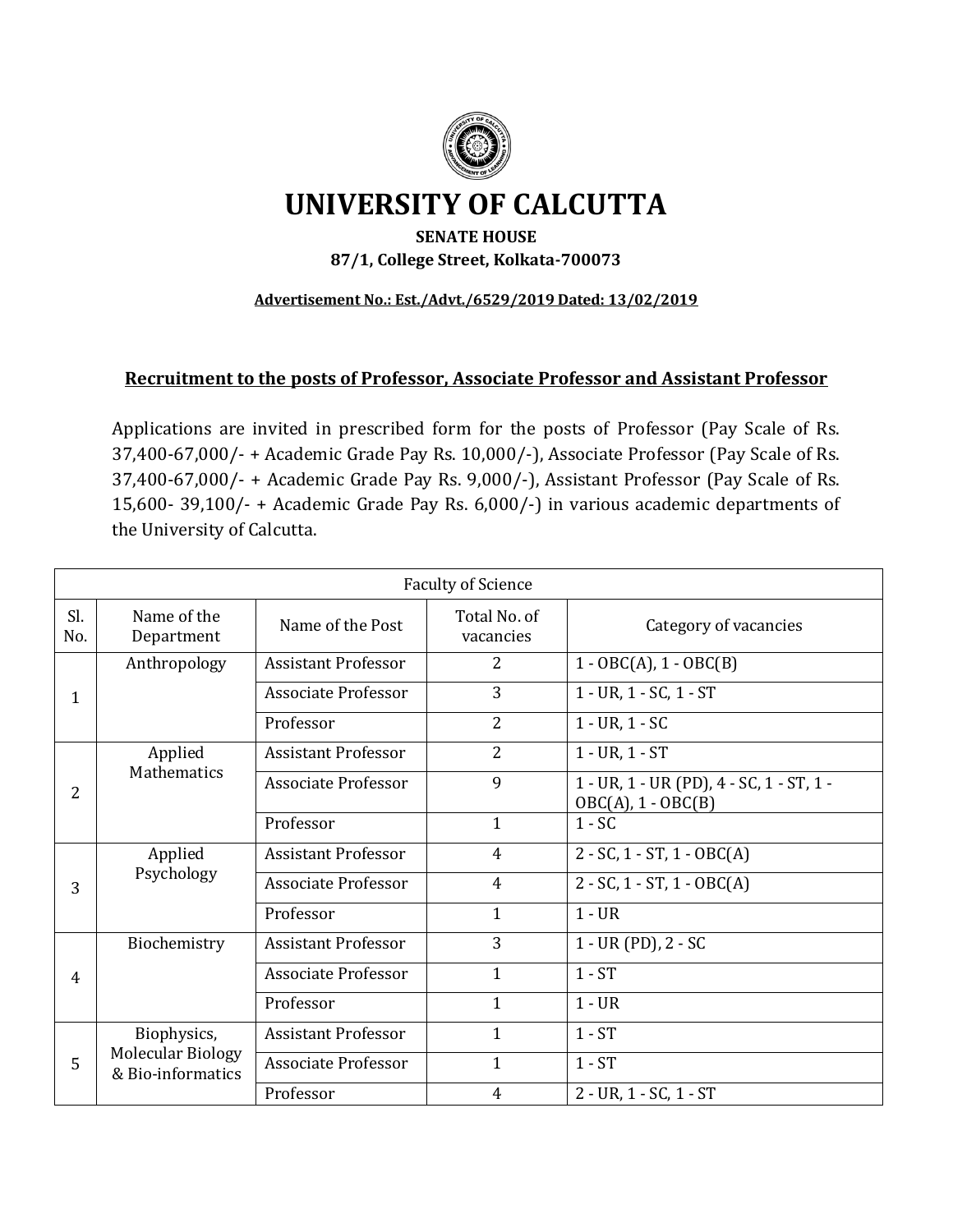

# **UNIVERSITY OF CALCUTTA**

## **SENATE HOUSE 87/1, College Street, Kolkata-700073**

#### **Advertisement No.: Est./Advt./6529/2019 Dated: 13/02/2019**

### **Recruitment to the posts of Professor, Associate Professor and Assistant Professor**

Applications are invited in prescribed form for the posts of Professor (Pay Scale of Rs. 37,400-67,000/- + Academic Grade Pay Rs. 10,000/-), Associate Professor (Pay Scale of Rs. 37,400-67,000/- + Academic Grade Pay Rs. 9,000/-), Assistant Professor (Pay Scale of Rs. 15,600- 39,100/- + Academic Grade Pay Rs. 6,000/-) in various academic departments of the University of Calcutta.

|                | <b>Faculty of Science</b>                     |                            |                           |                                                                  |  |
|----------------|-----------------------------------------------|----------------------------|---------------------------|------------------------------------------------------------------|--|
| Sl.<br>No.     | Name of the<br>Department                     | Name of the Post           | Total No. of<br>vacancies | Category of vacancies                                            |  |
|                | Anthropology                                  | <b>Assistant Professor</b> | $\overline{2}$            | $1 - OBC(A), 1 - OBC(B)$                                         |  |
| $\mathbf 1$    |                                               | <b>Associate Professor</b> | 3                         | 1 - UR, 1 - SC, 1 - ST                                           |  |
|                |                                               | Professor                  | $\overline{2}$            | $1 - UR, 1 - SC$                                                 |  |
|                | Applied                                       | <b>Assistant Professor</b> | $\overline{2}$            | $1 - UR, 1 - ST$                                                 |  |
| 2              | Mathematics                                   | Associate Professor        | 9                         | 1 - UR, 1 - UR (PD), 4 - SC, 1 - ST, 1 -<br>$OBC(A), 1 - OBC(B)$ |  |
|                |                                               | Professor                  | $\mathbf{1}$              | $1 - SC$                                                         |  |
|                | Applied                                       | <b>Assistant Professor</b> | 4                         | $2 - SC$ , 1 - ST, 1 - OBC(A)                                    |  |
| 3              | Psychology                                    | Associate Professor        | 4                         | $2 - SC$ , 1 - ST, 1 - OBC(A)                                    |  |
|                |                                               | Professor                  | $\mathbf{1}$              | $1 - UR$                                                         |  |
|                | Biochemistry                                  | <b>Assistant Professor</b> | 3                         | $1 - UR(PD), 2 - SC$                                             |  |
| $\overline{4}$ |                                               | <b>Associate Professor</b> | $\mathbf{1}$              | $1 - ST$                                                         |  |
|                |                                               | Professor                  | $\mathbf{1}$              | $1 - UR$                                                         |  |
| 5              | Biophysics,                                   | <b>Assistant Professor</b> | 1                         | $1 - ST$                                                         |  |
|                | <b>Molecular Biology</b><br>& Bio-informatics | <b>Associate Professor</b> | $\mathbf{1}$              | $1 - ST$                                                         |  |
|                |                                               | Professor                  | 4                         | 2 - UR, 1 - SC, 1 - ST                                           |  |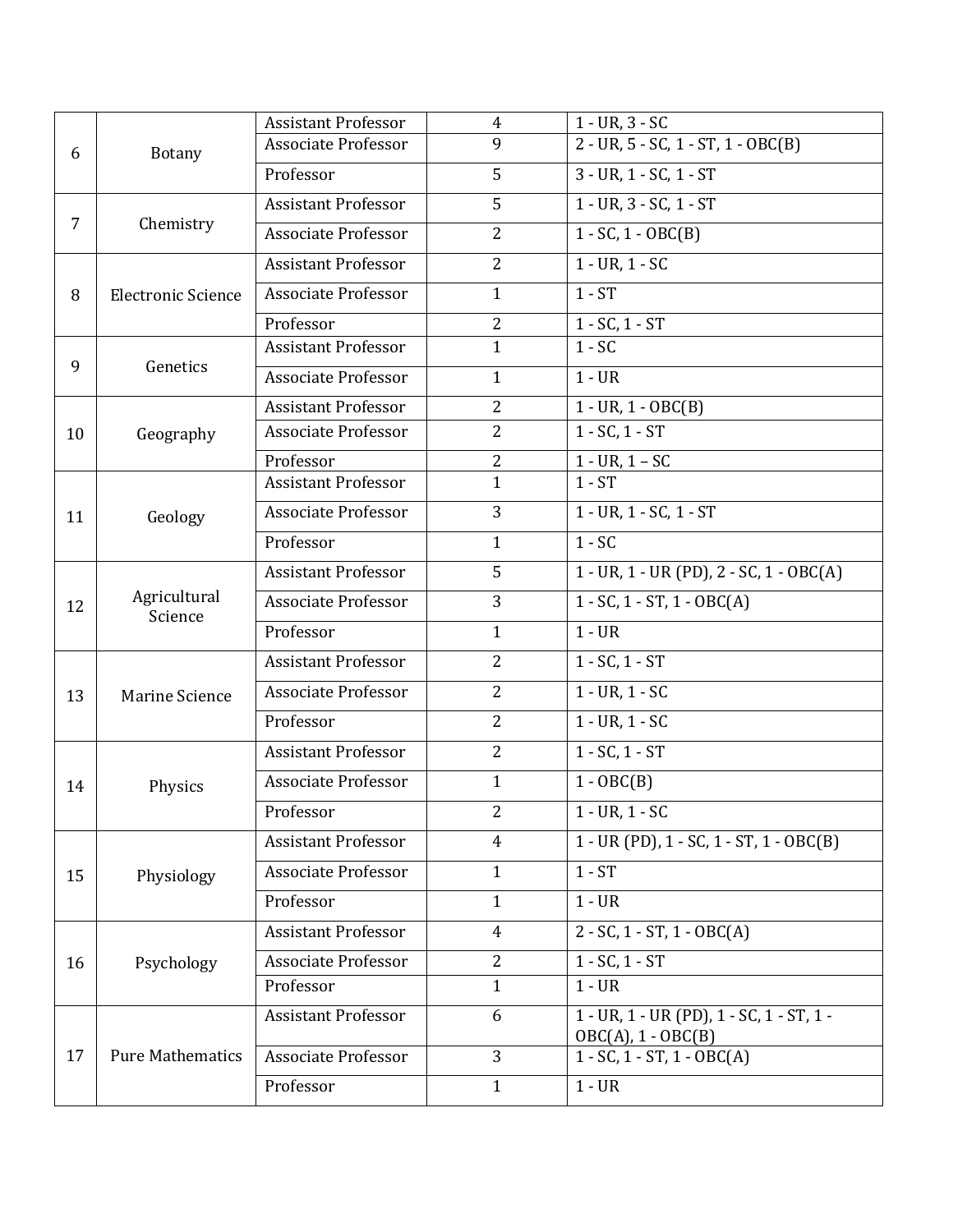|    |                           | <b>Assistant Professor</b> | $\overline{4}$ | $1 - UR, 3 - SC$                                                 |
|----|---------------------------|----------------------------|----------------|------------------------------------------------------------------|
| 6  | Botany                    | <b>Associate Professor</b> | 9              | $2 - UR$ , $5 - SC$ , $1 - ST$ , $1 - OBC(B)$                    |
|    |                           | Professor                  | 5              | 3 - UR, 1 - SC, 1 - ST                                           |
| 7  | Chemistry                 | <b>Assistant Professor</b> | 5              | 1 - UR, 3 - SC, 1 - ST                                           |
|    |                           | <b>Associate Professor</b> | $\overline{2}$ | $1 - SC$ , $1 - OBC(B)$                                          |
|    | <b>Electronic Science</b> | <b>Assistant Professor</b> | $\overline{2}$ | $1 - UR, 1 - SC$                                                 |
| 8  |                           | <b>Associate Professor</b> | $\mathbf{1}$   | $1 - ST$                                                         |
|    |                           | Professor                  | $\overline{2}$ | $1 - SC$ , $1 - ST$                                              |
|    |                           | <b>Assistant Professor</b> | $\mathbf{1}$   | $1 - SC$                                                         |
| 9  | Genetics                  | <b>Associate Professor</b> | $\mathbf{1}$   | $1 - UR$                                                         |
|    |                           | <b>Assistant Professor</b> | $\overline{2}$ | $1 - UR, 1 - OBC(B)$                                             |
| 10 | Geography                 | <b>Associate Professor</b> | $\overline{2}$ | $1 - SC$ , $1 - ST$                                              |
|    |                           | Professor                  | $\overline{2}$ | $1 - UR, 1 - SC$                                                 |
|    |                           | <b>Assistant Professor</b> | $\mathbf{1}$   | $1 - ST$                                                         |
| 11 | Geology                   | <b>Associate Professor</b> | 3              | $1 - UR, 1 - SC, 1 - ST$                                         |
|    |                           | Professor                  | $\mathbf{1}$   | $1 - SC$                                                         |
|    |                           | <b>Assistant Professor</b> | 5              | $1 - UR$ , $1 - UR$ (PD), $2 - SC$ , $1 - OBC(A)$                |
| 12 | Agricultural<br>Science   | <b>Associate Professor</b> | 3              | $1 - SC$ , $1 - ST$ , $1 - OBC(A)$                               |
|    |                           | Professor                  | $\mathbf{1}$   | $1 - UR$                                                         |
|    | Marine Science            | <b>Assistant Professor</b> | $\overline{2}$ | $1 - SC$ , $1 - ST$                                              |
| 13 |                           | <b>Associate Professor</b> | $\overline{2}$ | $1 - UR, 1 - SC$                                                 |
|    |                           | Professor                  | $\overline{2}$ | $1 - UR, 1 - SC$                                                 |
|    |                           | <b>Assistant Professor</b> | $\overline{2}$ | $1 - SC$ , $1 - ST$                                              |
| 14 | Physics                   | <b>Associate Professor</b> | $\mathbf{1}$   | $1 - OBC(B)$                                                     |
|    |                           | Professor                  | 2              | $1 - UR, 1 - SC$                                                 |
|    | Physiology                | <b>Assistant Professor</b> | 4              | $1 - UR$ (PD), $1 - SC$ , $1 - ST$ , $1 - OBC(B)$                |
| 15 |                           | <b>Associate Professor</b> | $\mathbf{1}$   | $1 - ST$                                                         |
|    |                           | Professor                  | $\mathbf{1}$   | $1 - UR$                                                         |
| 16 | Psychology                | <b>Assistant Professor</b> | $\overline{4}$ | $2 - SC$ , 1 - ST, 1 - OBC(A)                                    |
|    |                           | Associate Professor        | $\overline{2}$ | $1 - SC$ , $1 - ST$                                              |
|    |                           | Professor                  | $\mathbf{1}$   | $1 - UR$                                                         |
|    | <b>Pure Mathematics</b>   | <b>Assistant Professor</b> | 6              | 1 - UR, 1 - UR (PD), 1 - SC, 1 - ST, 1 -<br>$OBC(A), 1 - OBC(B)$ |
| 17 |                           | Associate Professor        | 3              | $1 - SC$ , $1 - ST$ , $1 - OBC(A)$                               |
|    |                           | Professor                  | $\mathbf{1}$   | $1 - UR$                                                         |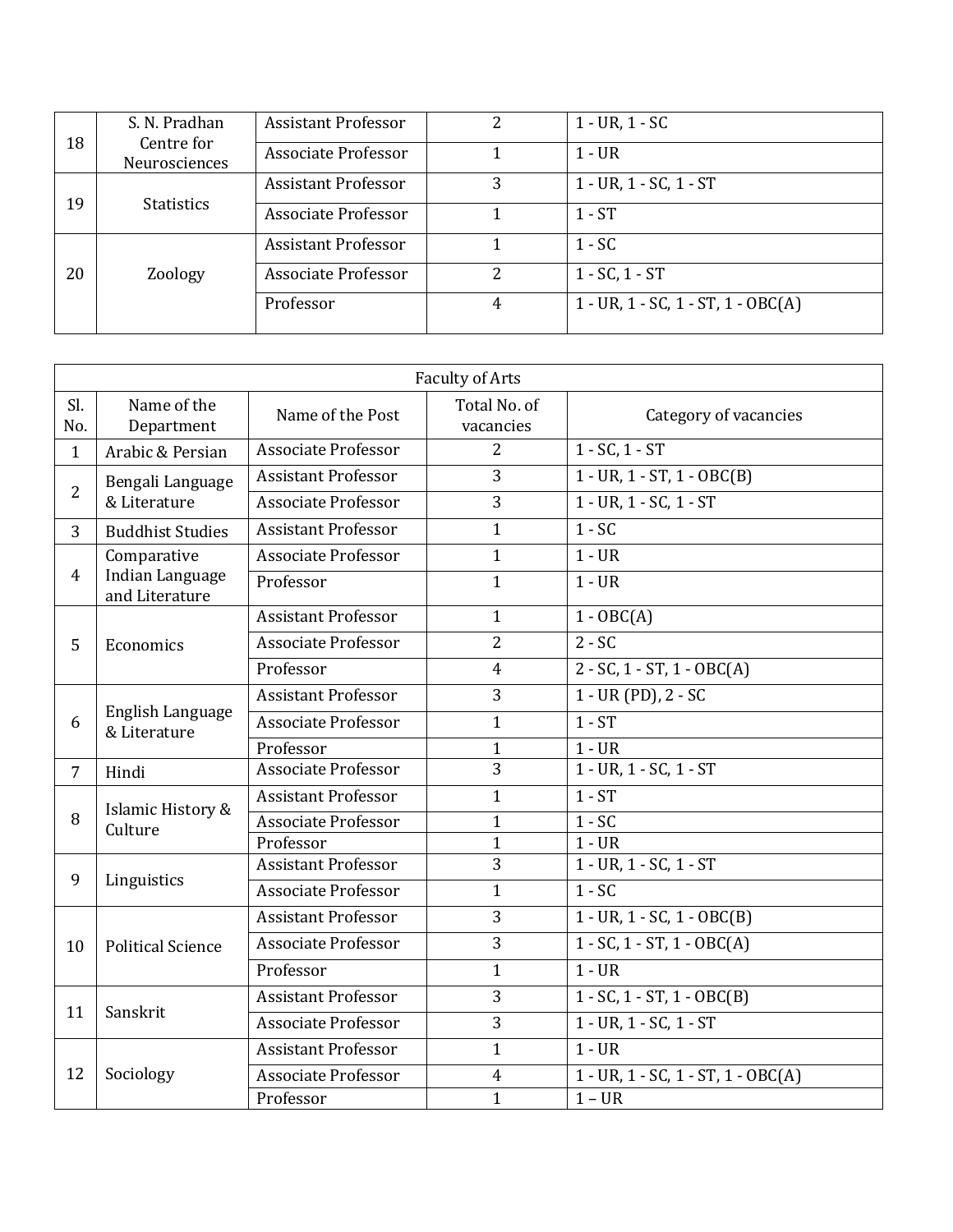|    | S. N. Pradhan               | <b>Assistant Professor</b> | 2 | $1 - UR, 1 - SC$                              |
|----|-----------------------------|----------------------------|---|-----------------------------------------------|
| 18 | Centre for<br>Neurosciences | Associate Professor        |   | 1 - UR                                        |
| 19 | <b>Statistics</b>           | <b>Assistant Professor</b> | 3 | $1 - UR$ , $1 - SC$ , $1 - ST$                |
|    |                             | Associate Professor        |   | $1 - ST$                                      |
|    |                             | <b>Assistant Professor</b> |   | $1 - SC$                                      |
| 20 | Zoology                     | Associate Professor        | 2 | $1 - SC$ , $1 - ST$                           |
|    |                             | Professor                  | 4 | $1 - UR$ , $1 - SC$ , $1 - ST$ , $1 - OBC(A)$ |

|                | <b>Faculty of Arts</b>            |                            |                           |                                               |  |
|----------------|-----------------------------------|----------------------------|---------------------------|-----------------------------------------------|--|
| Sl.<br>No.     | Name of the<br>Department         | Name of the Post           | Total No. of<br>vacancies | Category of vacancies                         |  |
| $\mathbf{1}$   | Arabic & Persian                  | <b>Associate Professor</b> | $\overline{2}$            | $1 - SC, 1 - ST$                              |  |
| $\overline{2}$ | Bengali Language<br>& Literature  | <b>Assistant Professor</b> | 3                         | $1 - UR$ , $1 - ST$ , $1 - OBC(B)$            |  |
|                |                                   | <b>Associate Professor</b> | 3                         | $1 - UR$ , $1 - SC$ , $1 - ST$                |  |
| 3              | <b>Buddhist Studies</b>           | <b>Assistant Professor</b> | $\mathbf{1}$              | $1 - \overline{SC}$                           |  |
|                | Comparative                       | <b>Associate Professor</b> | $\mathbf{1}$              | $1 - UR$                                      |  |
| 4              | Indian Language<br>and Literature | Professor                  | $\mathbf{1}$              | $1 - UR$                                      |  |
|                |                                   | <b>Assistant Professor</b> | $\mathbf{1}$              | $1 - OBC(A)$                                  |  |
| 5              | Economics                         | <b>Associate Professor</b> | $\overline{2}$            | $2 - SC$                                      |  |
|                |                                   | Professor                  | $\overline{4}$            | $2 - SC$ , $1 - ST$ , $1 - OBC(A)$            |  |
|                | English Language<br>& Literature  | <b>Assistant Professor</b> | 3                         | $1 - UR(PD), 2 - SC$                          |  |
| 6              |                                   | <b>Associate Professor</b> | $\mathbf{1}$              | $1 - ST$                                      |  |
|                |                                   | Professor                  | $\mathbf{1}$              | $1 - UR$                                      |  |
| $\overline{7}$ | Hindi                             | <b>Associate Professor</b> | 3                         | $1 - UR, 1 - SC, 1 - ST$                      |  |
|                | Islamic History &<br>Culture      | <b>Assistant Professor</b> | $\mathbf{1}$              | $1 - ST$                                      |  |
| 8              |                                   | <b>Associate Professor</b> | $\mathbf{1}$              | $1 - SC$                                      |  |
|                |                                   | Professor                  | $\mathbf{1}$              | $1 - UR$                                      |  |
|                | Linguistics                       | <b>Assistant Professor</b> | $\overline{3}$            | 1 - UR, 1 - SC, 1 - ST                        |  |
| 9              |                                   | Associate Professor        | $\mathbf{1}$              | $1 - SC$                                      |  |
|                | <b>Political Science</b>          | <b>Assistant Professor</b> | 3                         | $1 - UR$ , $1 - SC$ , $1 - OBC(B)$            |  |
| 10             |                                   | <b>Associate Professor</b> | 3                         | $1 - SC$ , $1 - ST$ , $1 - OBC(A)$            |  |
|                |                                   | Professor                  | $\mathbf{1}$              | $1 - UR$                                      |  |
|                | Sanskrit                          | <b>Assistant Professor</b> | 3                         | $1 - SC$ , $1 - ST$ , $1 - OBC(B)$            |  |
| 11             |                                   | <b>Associate Professor</b> | 3                         | 1 - UR, 1 - SC, 1 - ST                        |  |
|                | Sociology                         | <b>Assistant Professor</b> | $\mathbf{1}$              | $1 - UR$                                      |  |
| 12             |                                   | <b>Associate Professor</b> | $\overline{4}$            | $1 - UR$ , $1 - SC$ , $1 - ST$ , $1 - OBC(A)$ |  |
|                |                                   | Professor                  | $\mathbf{1}$              | $1 - UR$                                      |  |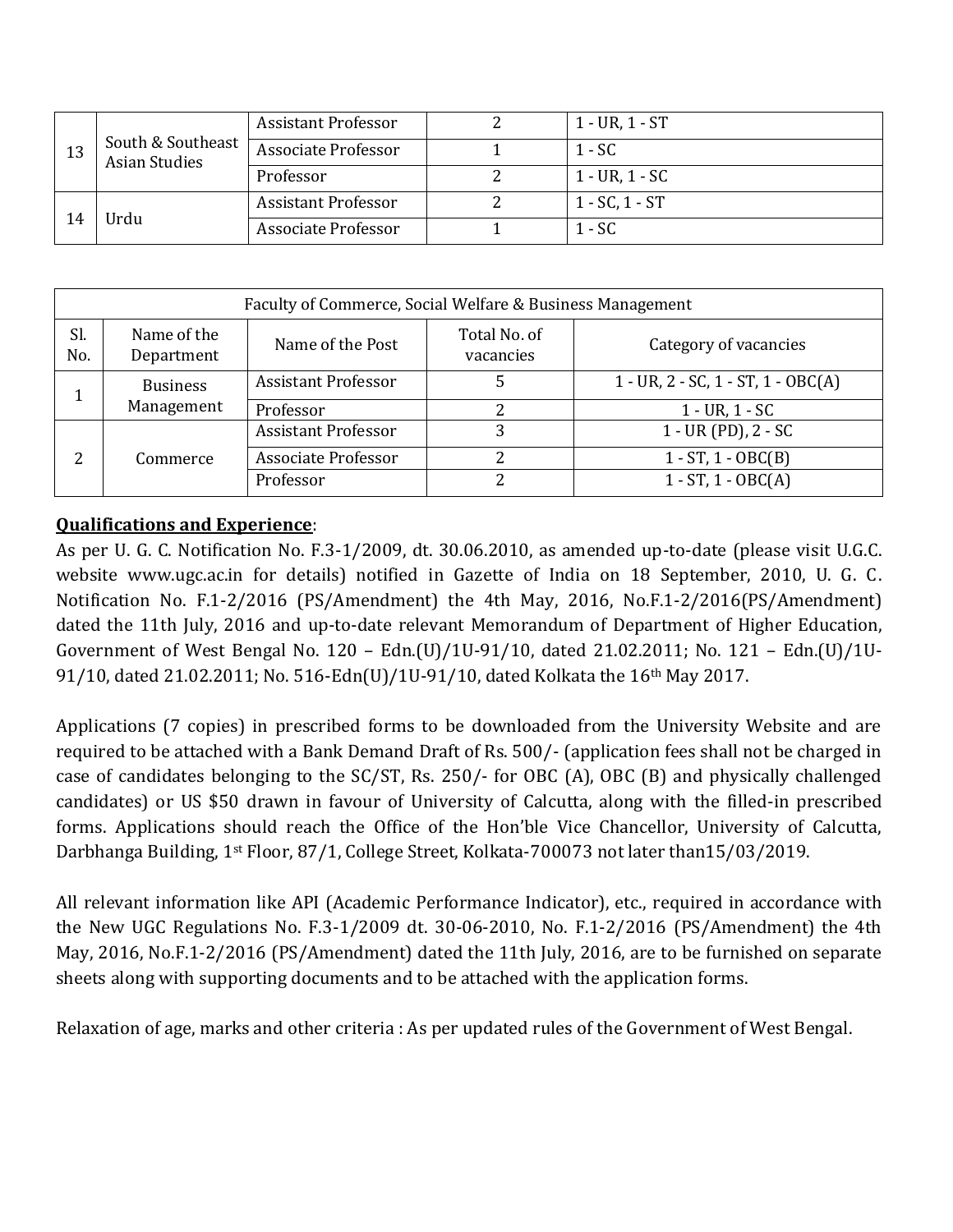| 13 | South & Southeast<br>Asian Studies | <b>Assistant Professor</b> | $1 - UR, 1 - ST$    |
|----|------------------------------------|----------------------------|---------------------|
|    |                                    | Associate Professor        | 1 - SC              |
|    |                                    | Professor                  | $1 - UR, 1 - SC$    |
|    | Urdu                               | <b>Assistant Professor</b> | $1 - SC$ , $1 - ST$ |
|    |                                    | <b>Associate Professor</b> | 1 - SC              |

| Faculty of Commerce, Social Welfare & Business Management |                               |                            |                           |                                               |
|-----------------------------------------------------------|-------------------------------|----------------------------|---------------------------|-----------------------------------------------|
| Sl.<br>No.                                                | Name of the<br>Department     | Name of the Post           | Total No. of<br>vacancies | Category of vacancies                         |
|                                                           | <b>Business</b><br>Management | <b>Assistant Professor</b> |                           | $1 - UR$ , $2 - SC$ , $1 - ST$ , $1 - OBC(A)$ |
|                                                           |                               | Professor                  |                           | $1 - UR, 1 - SC$                              |
|                                                           | Commerce                      | <b>Assistant Professor</b> | 3                         | $1 - UR$ (PD), $2 - SC$                       |
| 2                                                         |                               | Associate Professor        | 2                         | $1 - ST$ , $1 - OBC(B)$                       |
|                                                           |                               | Professor                  | 2                         | $1 - ST$ , $1 - OBC(A)$                       |

# **Qualifications and Experience**:

As per U. G. C. Notification No. F.3-1/2009, dt. 30.06.2010, as amended up-to-date (please visit U.G.C. website www.ugc.ac.in for details) notified in Gazette of India on 18 September, 2010, U. G. C. Notification No. F.1-2/2016 (PS/Amendment) the 4th May, 2016, No.F.1-2/2016(PS/Amendment) dated the 11th July, 2016 and up-to-date relevant Memorandum of Department of Higher Education, Government of West Bengal No. 120 – Edn.(U)/1U-91/10, dated 21.02.2011; No. 121 – Edn.(U)/1U-91/10, dated 21.02.2011; No. 516-Edn(U)/1U-91/10, dated Kolkata the 16<sup>th</sup> May 2017.

Applications (7 copies) in prescribed forms to be downloaded from the University Website and are required to be attached with a Bank Demand Draft of Rs. 500/- (application fees shall not be charged in case of candidates belonging to the SC/ST, Rs. 250/- for OBC (A), OBC (B) and physically challenged candidates) or US \$50 drawn in favour of University of Calcutta, along with the filled-in prescribed forms. Applications should reach the Office of the Hon'ble Vice Chancellor, University of Calcutta, Darbhanga Building, 1st Floor, 87/1, College Street, Kolkata-700073 not later than15/03/2019.

All relevant information like API (Academic Performance Indicator), etc., required in accordance with the New UGC Regulations No. F.3-1/2009 dt. 30-06-2010, No. F.1-2/2016 (PS/Amendment) the 4th May, 2016, No.F.1-2/2016 (PS/Amendment) dated the 11th July, 2016, are to be furnished on separate sheets along with supporting documents and to be attached with the application forms.

Relaxation of age, marks and other criteria : As per updated rules of the Government of West Bengal.